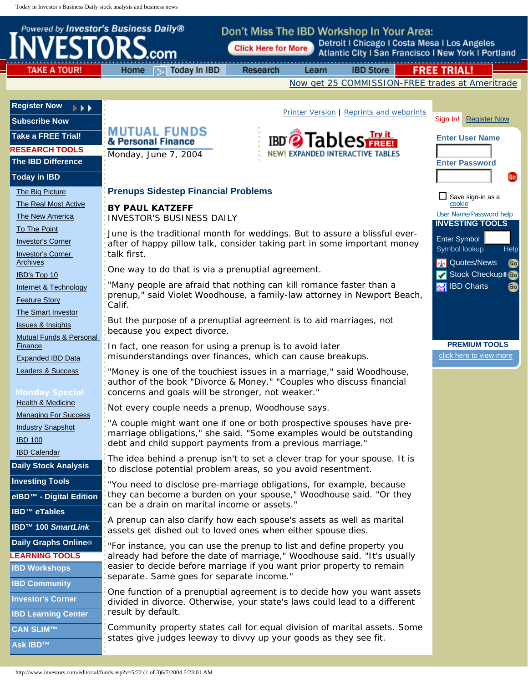<span id="page-0-0"></span>

| <b>NVESTORS</b>                                                           | Powered by Investor's Business Daily®                                                                                                                                                              | Don't Miss The IBD Workshop In Your Area:<br><b>Click Here for More</b> |                                                 |                  | Detroit   Chicago   Costa Mesa   Los Angeles<br>Atlantic City I San Francisco I New York I Portland |  |
|---------------------------------------------------------------------------|----------------------------------------------------------------------------------------------------------------------------------------------------------------------------------------------------|-------------------------------------------------------------------------|-------------------------------------------------|------------------|-----------------------------------------------------------------------------------------------------|--|
| <b>TAKE A TOUR!</b>                                                       | Today In IBD<br>Home                                                                                                                                                                               | Research                                                                | Learn                                           | <b>IBD Store</b> | <b>FREE TRIAL!</b>                                                                                  |  |
|                                                                           |                                                                                                                                                                                                    |                                                                         |                                                 |                  | Now get 25 COMMISSION-FREE trades at Ameritrade                                                     |  |
| <b>Register Now</b><br>$\rightarrow$<br><b>Subscribe Now</b>              |                                                                                                                                                                                                    |                                                                         | <b>Printer Version   Reprints and webprints</b> |                  | Sign In!<br><b>Register Now</b>                                                                     |  |
| <b>Take a FREE Trial!</b>                                                 | <b>MUTUAL FUNDS</b><br>& Personal Finance                                                                                                                                                          |                                                                         | <b>IBD</b> 2 Tables                             |                  | <b>Enter User Name</b>                                                                              |  |
| <b>RESEARCH TOOLS</b><br><b>The IBD Difference</b>                        | Monday, June 7, 2004                                                                                                                                                                               |                                                                         | NEW! EXPANDED INTERACTIVE TABLES                |                  | <b>Enter Password</b>                                                                               |  |
| <b>Today in IBD</b>                                                       |                                                                                                                                                                                                    |                                                                         |                                                 |                  | Go                                                                                                  |  |
| The Big Picture                                                           | <b>Prenups Sidestep Financial Problems</b><br>$\Box$ Save sign-in as a                                                                                                                             |                                                                         |                                                 |                  |                                                                                                     |  |
| The Real Most Active<br>The New America                                   | <b>BY PAUL KATZEFF</b><br><b>INVESTOR'S BUSINESS DAILY</b>                                                                                                                                         |                                                                         |                                                 |                  | cookie<br>User Name/Password help<br><b>INVESTING TOOLS</b>                                         |  |
| To The Point<br><b>Investor's Corner</b><br><b>Investor's Corner</b>      | June is the traditional month for weddings. But to assure a blissful ever-<br>Enter Symbol<br>after of happy pillow talk, consider taking part in some important money<br>Symbol lookup<br>Help    |                                                                         |                                                 |                  |                                                                                                     |  |
| <b>Archives</b>                                                           | talk first.<br><b>AN</b> Quotes/News<br>ൟ                                                                                                                                                          |                                                                         |                                                 |                  |                                                                                                     |  |
| IBD's Top 10                                                              | One way to do that is via a prenuptial agreement.<br>Stock Checkup® Go                                                                                                                             |                                                                         |                                                 |                  |                                                                                                     |  |
| Internet & Technology                                                     | "Many people are afraid that nothing can kill romance faster than a<br><b>RM</b> IBD Charts<br>Go                                                                                                  |                                                                         |                                                 |                  |                                                                                                     |  |
| <b>Feature Story</b>                                                      | prenup," said Violet Woodhouse, a family-law attorney in Newport Beach,<br>Calif.                                                                                                                  |                                                                         |                                                 |                  |                                                                                                     |  |
| The Smart Investor                                                        | But the purpose of a prenuptial agreement is to aid marriages, not                                                                                                                                 |                                                                         |                                                 |                  |                                                                                                     |  |
| <b>Issues &amp; Insights</b>                                              | because you expect divorce.                                                                                                                                                                        |                                                                         |                                                 |                  |                                                                                                     |  |
| <b>Mutual Funds &amp; Personal</b><br>Finance<br><b>Expanded IBD Data</b> | In fact, one reason for using a prenup is to avoid later<br>misunderstandings over finances, which can cause breakups.                                                                             | <b>PREMIUM TOOLS</b><br>click here to view more                         |                                                 |                  |                                                                                                     |  |
| Leaders & Success<br><b>Monday Special</b>                                | "Money is one of the touchiest issues in a marriage," said Woodhouse,<br>author of the book "Divorce & Money." "Couples who discuss financial<br>concerns and goals will be stronger, not weaker." |                                                                         |                                                 |                  |                                                                                                     |  |
| Health & Medicine                                                         | Not every couple needs a prenup, Woodhouse says.                                                                                                                                                   |                                                                         |                                                 |                  |                                                                                                     |  |
| <b>Managing For Success</b>                                               | "A couple might want one if one or both prospective spouses have pre-                                                                                                                              |                                                                         |                                                 |                  |                                                                                                     |  |
| <b>Industry Snapshot</b><br><b>IBD 100</b>                                | marriage obligations," she said. "Some examples would be outstanding<br>debt and child support payments from a previous marriage."                                                                 |                                                                         |                                                 |                  |                                                                                                     |  |
| <b>IBD Calendar</b>                                                       | The idea behind a prenup isn't to set a clever trap for your spouse. It is                                                                                                                         |                                                                         |                                                 |                  |                                                                                                     |  |
| <b>Daily Stock Analysis</b>                                               | to disclose potential problem areas, so you avoid resentment.                                                                                                                                      |                                                                         |                                                 |                  |                                                                                                     |  |
| <b>Investing Tools</b><br>elBD <sup>™</sup> - Digital Edition             | "You need to disclose pre-marriage obligations, for example, because<br>they can become a burden on your spouse," Woodhouse said. "Or they                                                         |                                                                         |                                                 |                  |                                                                                                     |  |
| <b>IBD<sup>™</sup></b> eTables                                            | can be a drain on marital income or assets."                                                                                                                                                       |                                                                         |                                                 |                  |                                                                                                     |  |
| <b>IBD<sup>™</sup> 100 SmartLink</b>                                      | A prenup can also clarify how each spouse's assets as well as marital<br>assets get dished out to loved ones when either spouse dies.                                                              |                                                                         |                                                 |                  |                                                                                                     |  |
| <b>Daily Graphs Online®</b>                                               | "For instance, you can use the prenup to list and define property you                                                                                                                              |                                                                         |                                                 |                  |                                                                                                     |  |
| <b>LEARNING TOOLS</b>                                                     | already had before the date of marriage," Woodhouse said. "It's usually                                                                                                                            |                                                                         |                                                 |                  |                                                                                                     |  |
| <b>IBD Workshops</b>                                                      | easier to decide before marriage if you want prior property to remain<br>separate. Same goes for separate income."                                                                                 |                                                                         |                                                 |                  |                                                                                                     |  |
| <b>IBD Community</b>                                                      |                                                                                                                                                                                                    |                                                                         |                                                 |                  |                                                                                                     |  |
| <b>Investor's Corner</b>                                                  | One function of a prenuptial agreement is to decide how you want assets<br>divided in divorce. Otherwise, your state's laws could lead to a different                                              |                                                                         |                                                 |                  |                                                                                                     |  |
| <b>IBD Learning Center</b>                                                | result by default.                                                                                                                                                                                 |                                                                         |                                                 |                  |                                                                                                     |  |
| <b>CAN SLIM™</b>                                                          | Community property states call for equal division of marital assets. Some                                                                                                                          |                                                                         |                                                 |                  |                                                                                                     |  |
| <b>Ask IBD™</b>                                                           | states give judges leeway to divvy up your goods as they see fit.                                                                                                                                  |                                                                         |                                                 |                  |                                                                                                     |  |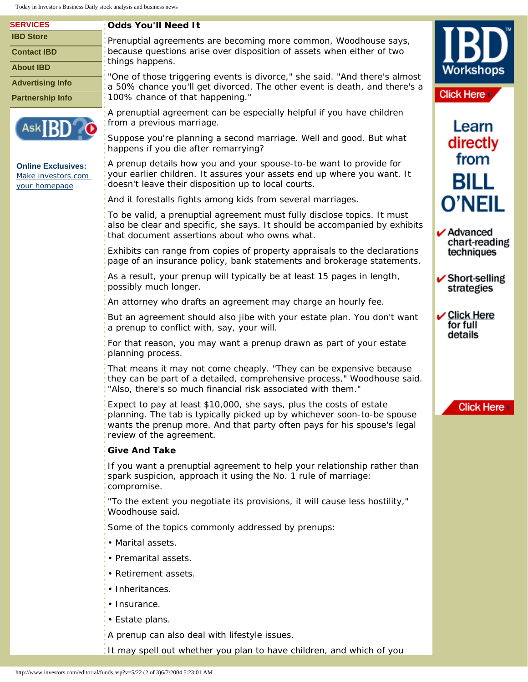Today in Investor's Business Daily stock analysis and business news

| <b>SERVICES</b>                                                  | <b>Odds You'll Need It</b>                                                                                                                                                                                                                            |                                                                             |
|------------------------------------------------------------------|-------------------------------------------------------------------------------------------------------------------------------------------------------------------------------------------------------------------------------------------------------|-----------------------------------------------------------------------------|
| <b>IBD Store</b>                                                 | Prenuptial agreements are becoming more common, Woodhouse says,                                                                                                                                                                                       |                                                                             |
| <b>Contact IBD</b>                                               | because questions arise over disposition of assets when either of two<br>things happens.                                                                                                                                                              |                                                                             |
| <b>About IBD</b>                                                 | "One of those triggering events is divorce," she said. "And there's almost                                                                                                                                                                            | Workshops                                                                   |
| <b>Advertising Info</b>                                          | a 50% chance you'll get divorced. The other event is death, and there's a                                                                                                                                                                             |                                                                             |
| <b>Partnership Info</b>                                          | 100% chance of that happening."                                                                                                                                                                                                                       | <b>Click Here</b>                                                           |
| Ask <sup>I</sup> F                                               | A prenuptial agreement can be especially helpful if you have children<br>from a previous marriage.                                                                                                                                                    | Learn                                                                       |
|                                                                  | Suppose you're planning a second marriage. Well and good. But what<br>happens if you die after remarrying?                                                                                                                                            | directly                                                                    |
| <b>Online Exclusives:</b><br>Make investors.com<br>your homepage | A prenup details how you and your spouse-to-be want to provide for<br>your earlier children. It assures your assets end up where you want. It<br>doesn't leave their disposition up to local courts.                                                  | from<br><b>BILL</b>                                                         |
|                                                                  | And it forestalls fights among kids from several marriages.                                                                                                                                                                                           | <b>O'NEIL</b><br>$\boldsymbol{\nu}$ Advanced<br>chart-reading<br>techniques |
|                                                                  | To be valid, a prenuptial agreement must fully disclose topics. It must<br>also be clear and specific, she says. It should be accompanied by exhibits<br>that document assertions about who owns what.                                                |                                                                             |
|                                                                  | Exhibits can range from copies of property appraisals to the declarations<br>page of an insurance policy, bank statements and brokerage statements.                                                                                                   |                                                                             |
|                                                                  | As a result, your prenup will typically be at least 15 pages in length,<br>possibly much longer.                                                                                                                                                      | $\checkmark$ Short-selling<br>strategies                                    |
|                                                                  | An attorney who drafts an agreement may charge an hourly fee.                                                                                                                                                                                         |                                                                             |
|                                                                  | But an agreement should also jibe with your estate plan. You don't want<br>a prenup to conflict with, say, your will.                                                                                                                                 | $\boldsymbol{\nu}$ Click Here<br>for full<br>details                        |
|                                                                  | For that reason, you may want a prenup drawn as part of your estate<br>planning process.                                                                                                                                                              |                                                                             |
|                                                                  | That means it may not come cheaply. "They can be expensive because<br>they can be part of a detailed, comprehensive process," Woodhouse said.<br>"Also, there's so much financial risk associated with them."                                         |                                                                             |
|                                                                  | Expect to pay at least \$10,000, she says, plus the costs of estate<br>planning. The tab is typically picked up by whichever soon-to-be spouse<br>wants the prenup more. And that party often pays for his spouse's legal<br>review of the agreement. | <b>Click Here</b>                                                           |
|                                                                  | <b>Give And Take</b>                                                                                                                                                                                                                                  |                                                                             |
|                                                                  | If you want a prenuptial agreement to help your relationship rather than<br>spark suspicion, approach it using the No. 1 rule of marriage:<br>compromise.                                                                                             |                                                                             |
|                                                                  | "To the extent you negotiate its provisions, it will cause less hostility,"<br>Woodhouse said.                                                                                                                                                        |                                                                             |
|                                                                  | Some of the topics commonly addressed by prenups:<br>• Marital assets.<br>• Premarital assets.                                                                                                                                                        |                                                                             |
|                                                                  |                                                                                                                                                                                                                                                       |                                                                             |
|                                                                  |                                                                                                                                                                                                                                                       |                                                                             |
|                                                                  | • Retirement assets.                                                                                                                                                                                                                                  |                                                                             |
|                                                                  | • Inheritances.                                                                                                                                                                                                                                       |                                                                             |
|                                                                  | • Insurance.<br>• Estate plans.<br>A prenup can also deal with lifestyle issues.                                                                                                                                                                      |                                                                             |
|                                                                  |                                                                                                                                                                                                                                                       |                                                                             |
|                                                                  |                                                                                                                                                                                                                                                       |                                                                             |

It may spell out whether you plan to have children, and which of you